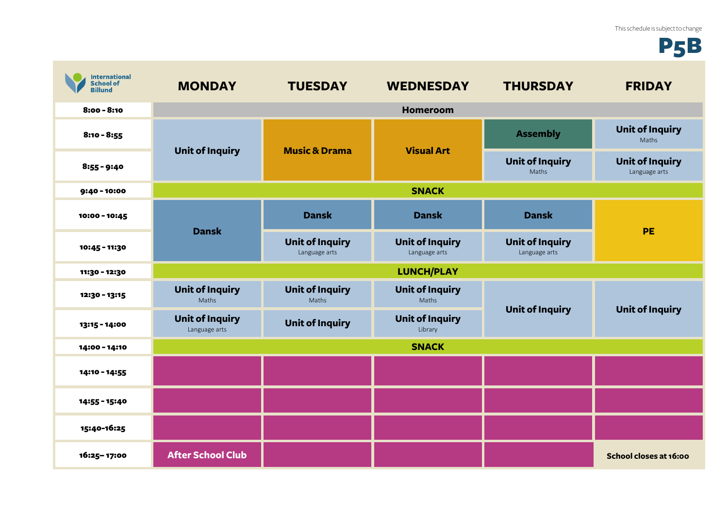## P5B

| <b>International</b><br><b>School of</b><br><b>Billund</b> | <b>MONDAY</b>                           | <b>TUESDAY</b>                          | <b>WEDNESDAY</b>                        | <b>THURSDAY</b>                         | <b>FRIDAY</b>                           |
|------------------------------------------------------------|-----------------------------------------|-----------------------------------------|-----------------------------------------|-----------------------------------------|-----------------------------------------|
| $8:00 - 8:10$                                              |                                         |                                         | <b>Homeroom</b>                         |                                         |                                         |
| $8:10 - 8:55$                                              | <b>Unit of Inquiry</b>                  | <b>Music &amp; Drama</b>                | <b>Visual Art</b>                       | <b>Assembly</b>                         | <b>Unit of Inquiry</b><br>Maths         |
| $8:55 - 9:40$                                              |                                         |                                         |                                         | <b>Unit of Inquiry</b><br>Maths         | <b>Unit of Inquiry</b><br>Language arts |
| 9:40 - 10:00                                               | <b>SNACK</b>                            |                                         |                                         |                                         |                                         |
| 10:00 - 10:45                                              | <b>Dansk</b>                            | <b>Dansk</b>                            | <b>Dansk</b>                            | <b>Dansk</b>                            | <b>PE</b>                               |
| 10:45 - 11:30                                              |                                         | <b>Unit of Inquiry</b><br>Language arts | <b>Unit of Inquiry</b><br>Language arts | <b>Unit of Inquiry</b><br>Language arts |                                         |
| 11:30 - 12:30                                              |                                         |                                         | <b>LUNCH/PLAY</b>                       |                                         |                                         |
| 12:30 - 13:15                                              | <b>Unit of Inquiry</b><br>Maths         | <b>Unit of Inquiry</b><br>Maths         | <b>Unit of Inquiry</b><br>Maths         | <b>Unit of Inquiry</b>                  | <b>Unit of Inquiry</b>                  |
| 13:15 - 14:00                                              | <b>Unit of Inquiry</b><br>Language arts | <b>Unit of Inquiry</b>                  | <b>Unit of Inquiry</b><br>Library       |                                         |                                         |
| 14:00 - 14:10                                              | <b>SNACK</b>                            |                                         |                                         |                                         |                                         |
| 14:10 - 14:55                                              |                                         |                                         |                                         |                                         |                                         |
| 14:55 - 15:40                                              |                                         |                                         |                                         |                                         |                                         |
| 15:40-16:25                                                |                                         |                                         |                                         |                                         |                                         |
| 16:25-17:00                                                | <b>After School Club</b>                |                                         |                                         |                                         | School closes at 16:00                  |